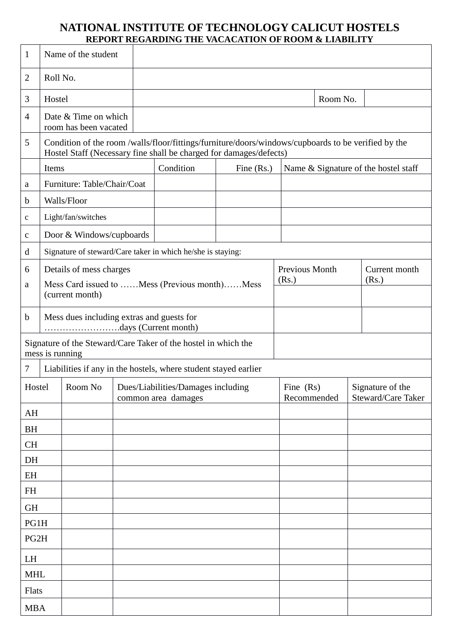## **NATIONAL INSTITUTE OF TECHNOLOGY CALICUT HOSTELS REPORT REGARDING THE VACACATION OF ROOM & LIABILITY**

| $\mathbf{1}$                                                                      |                                                                                                                                                                           | Name of the student                           |  |                                                                              |              |                                      |                |  |                                        |
|-----------------------------------------------------------------------------------|---------------------------------------------------------------------------------------------------------------------------------------------------------------------------|-----------------------------------------------|--|------------------------------------------------------------------------------|--------------|--------------------------------------|----------------|--|----------------------------------------|
| $\overline{2}$                                                                    | Roll No.                                                                                                                                                                  |                                               |  |                                                                              |              |                                      |                |  |                                        |
| 3                                                                                 | Hostel                                                                                                                                                                    |                                               |  |                                                                              |              |                                      | Room No.       |  |                                        |
| $\overline{4}$                                                                    |                                                                                                                                                                           | Date & Time on which<br>room has been vacated |  |                                                                              |              |                                      |                |  |                                        |
| 5                                                                                 | Condition of the room /walls/floor/fittings/furniture/doors/windows/cupboards to be verified by the<br>Hostel Staff (Necessary fine shall be charged for damages/defects) |                                               |  |                                                                              |              |                                      |                |  |                                        |
|                                                                                   | Items                                                                                                                                                                     |                                               |  | Condition                                                                    | Fine $(Rs.)$ | Name & Signature of the hostel staff |                |  |                                        |
| a                                                                                 |                                                                                                                                                                           | Furniture: Table/Chair/Coat                   |  |                                                                              |              |                                      |                |  |                                        |
| $\mathbf b$                                                                       | Walls/Floor                                                                                                                                                               |                                               |  |                                                                              |              |                                      |                |  |                                        |
| $\mathbf c$                                                                       |                                                                                                                                                                           | Light/fan/switches                            |  |                                                                              |              |                                      |                |  |                                        |
| $\mathbf{C}$                                                                      |                                                                                                                                                                           | Door & Windows/cupboards                      |  |                                                                              |              |                                      |                |  |                                        |
| d                                                                                 |                                                                                                                                                                           |                                               |  | Signature of steward/Care taker in which he/she is staying:                  |              |                                      |                |  |                                        |
| 6                                                                                 | Details of mess charges                                                                                                                                                   |                                               |  |                                                                              |              |                                      | Previous Month |  | Current month                          |
| a                                                                                 |                                                                                                                                                                           | Mess Card issued to Mess (Previous month)Mess |  |                                                                              |              |                                      |                |  | (Rs.)                                  |
|                                                                                   |                                                                                                                                                                           | (current month)                               |  |                                                                              |              |                                      |                |  |                                        |
| $\mathbf b$                                                                       | Mess dues including extras and guests for                                                                                                                                 |                                               |  |                                                                              |              |                                      |                |  |                                        |
| Signature of the Steward/Care Taker of the hostel in which the<br>mess is running |                                                                                                                                                                           |                                               |  |                                                                              |              |                                      |                |  |                                        |
| $\tau$                                                                            |                                                                                                                                                                           |                                               |  | Liabilities if any in the hostels, where student stayed earlier              |              |                                      |                |  |                                        |
|                                                                                   |                                                                                                                                                                           |                                               |  | Hostel   Room No   Dues/Liabilities/Damages including<br>common area damages |              | Fine $(Rs)$<br>Recommended           |                |  | Signature of the<br>Steward/Care Taker |
| AH                                                                                |                                                                                                                                                                           |                                               |  |                                                                              |              |                                      |                |  |                                        |
| <b>BH</b>                                                                         |                                                                                                                                                                           |                                               |  |                                                                              |              |                                      |                |  |                                        |
| CH                                                                                |                                                                                                                                                                           |                                               |  |                                                                              |              |                                      |                |  |                                        |
| DH                                                                                |                                                                                                                                                                           |                                               |  |                                                                              |              |                                      |                |  |                                        |
| EH                                                                                |                                                                                                                                                                           |                                               |  |                                                                              |              |                                      |                |  |                                        |
| $\mathbf{FH}% _{C}^{\ast }=\mathbf{H}_{C}^{\ast }$                                |                                                                                                                                                                           |                                               |  |                                                                              |              |                                      |                |  |                                        |
| <b>GH</b>                                                                         |                                                                                                                                                                           |                                               |  |                                                                              |              |                                      |                |  |                                        |
| PG1H                                                                              |                                                                                                                                                                           |                                               |  |                                                                              |              |                                      |                |  |                                        |
| PG2H                                                                              |                                                                                                                                                                           |                                               |  |                                                                              |              |                                      |                |  |                                        |
| LH                                                                                |                                                                                                                                                                           |                                               |  |                                                                              |              |                                      |                |  |                                        |
| <b>MHL</b>                                                                        |                                                                                                                                                                           |                                               |  |                                                                              |              |                                      |                |  |                                        |
| Flats                                                                             |                                                                                                                                                                           |                                               |  |                                                                              |              |                                      |                |  |                                        |
| <b>MBA</b>                                                                        |                                                                                                                                                                           |                                               |  |                                                                              |              |                                      |                |  |                                        |